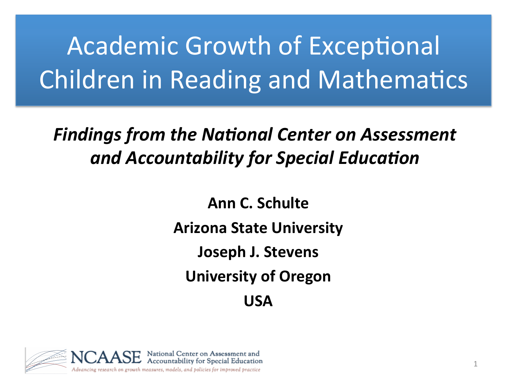# Academic Growth of Exceptional Children in Reading and Mathematics

#### **Findings from the National Center on Assessment** and Accountability for Special Education

**Ann C. Schulte Arizona State University Joseph J. Stevens University of Oregon USA** 

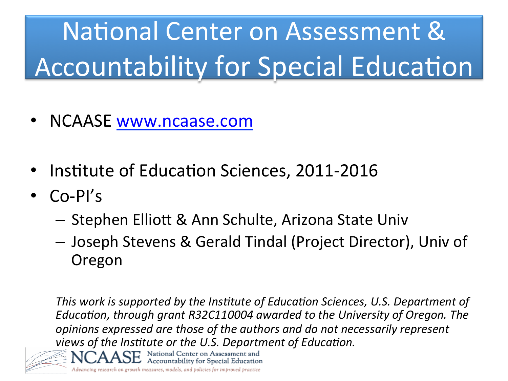# National Center on Assessment & Accountability for Special Education

- NCAASE www.ncaase.com
- Institute of Education Sciences, 2011-2016

Accountability for Special Education

- Co-PI's
	- $-$  Stephen Elliott & Ann Schulte, Arizona State Univ
	- Joseph Stevens & Gerald Tindal (Project Director), Univ of Oregon

*This* work is supported by the Institute of Education Sciences, U.S. Department of *Education, through grant R32C110004 awarded to the University of Oregon. The opinions expressed are those of the authors and do not necessarily represent views of the Institute or the U.S. Department of Education.* National Center on Assessment and

Advancing research on growth measures, models, and policies for improved practice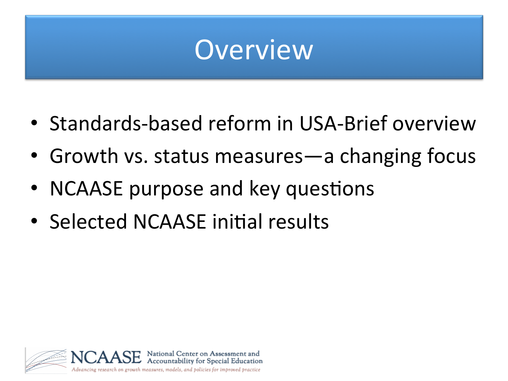## **Overview**

- Standards-based reform in USA-Brief overview
- Growth vs. status measures—a changing focus
- NCAASE purpose and key questions
- Selected NCAASE initial results

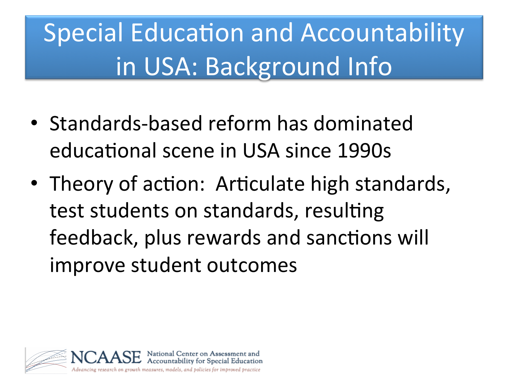# Special Education and Accountability in USA: Background Info

- Standards-based reform has dominated educational scene in USA since 1990s
- Theory of action: Articulate high standards, test students on standards, resulting feedback, plus rewards and sanctions will improve student outcomes

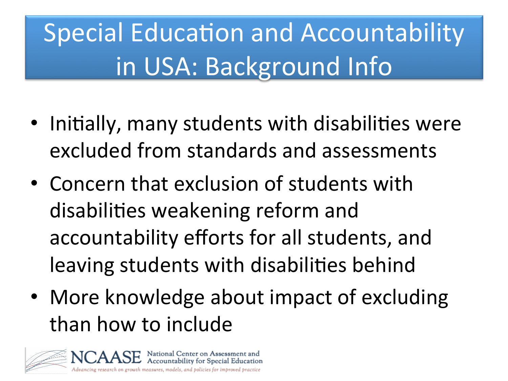# Special Education and Accountability in USA: Background Info

- Initially, many students with disabilities were excluded from standards and assessments
- Concern that exclusion of students with disabilities weakening reform and accountability efforts for all students, and leaving students with disabilities behind
- More knowledge about impact of excluding than how to include

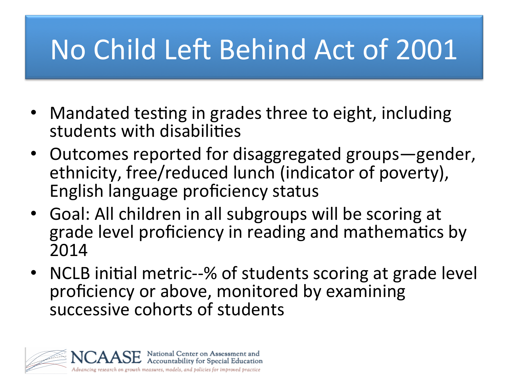# No Child Left Behind Act of 2001

- Mandated testing in grades three to eight, including students with disabilities
- Outcomes reported for disaggregated groups-gender, ethnicity, free/reduced lunch (indicator of poverty), English language proficiency status
- Goal: All children in all subgroups will be scoring at grade level proficiency in reading and mathematics by 2014
- NCLB initial metric--% of students scoring at grade level proficiency or above, monitored by examining successive cohorts of students

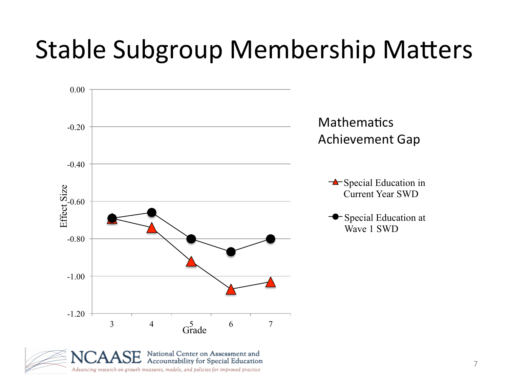## Stable Subgroup Membership Matters



Advancing research on growth measures, models, and policies for improved practice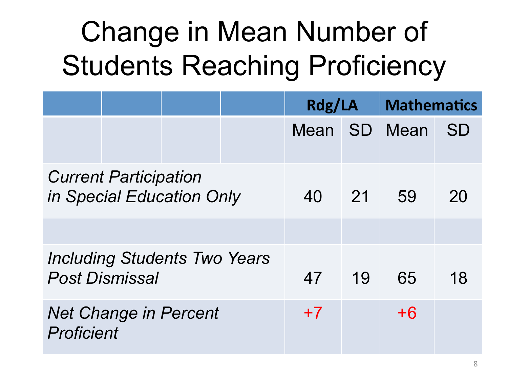# Change in Mean Number of Students Reaching Proficiency

|                                                              |  |  |  | Rdg/LA |                 | <b>Mathematics</b> |    |
|--------------------------------------------------------------|--|--|--|--------|-----------------|--------------------|----|
|                                                              |  |  |  | Mean   | <b>SD</b>       | Mean               | SD |
| <b>Current Participation</b><br>in Special Education Only    |  |  |  | 40     | $\overline{21}$ | 59                 | 20 |
|                                                              |  |  |  |        |                 |                    |    |
| <b>Including Students Two Years</b><br><b>Post Dismissal</b> |  |  |  | 47     | 19              | 65                 | 18 |
| <b>Net Change in Percent</b><br>Proficient                   |  |  |  | $+7$   |                 | $+6$               |    |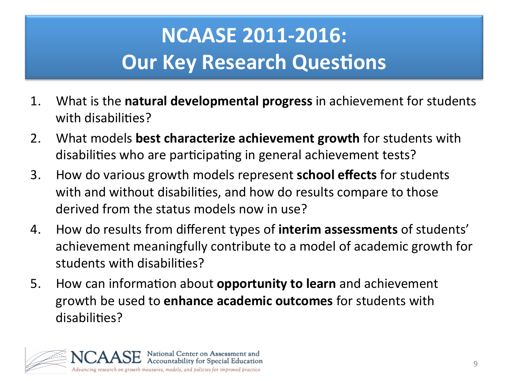### **NCAASE 2011-2016: Our Key Research Questions**

- 1. What is the **natural developmental progress** in achievement for students with disabilities?
- 2. What models **best characterize achievement growth** for students with disabilities who are participating in general achievement tests?
- 3. How do various growth models represent **school effects** for students with and without disabilities, and how do results compare to those derived from the status models now in use?
- 4. How do results from different types of **interim assessments** of students' achievement meaningfully contribute to a model of academic growth for students with disabilities?
- 5. How can information about **opportunity to learn** and achievement growth be used to **enhance academic outcomes** for students with disabilities?

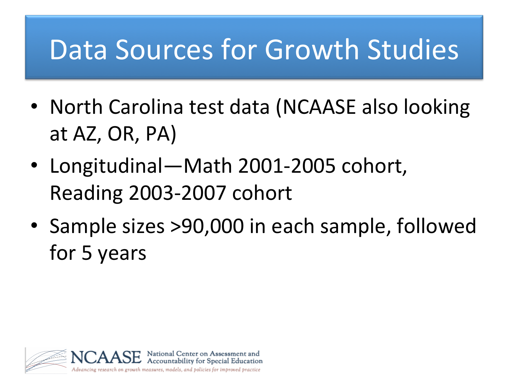## Data Sources for Growth Studies

- North Carolina test data (NCAASE also looking at AZ, OR, PA)
- Longitudinal—Math 2001-2005 cohort, Reading 2003-2007 cohort
- Sample sizes >90,000 in each sample, followed for 5 years

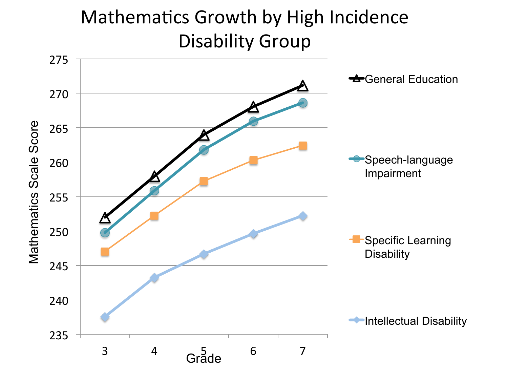#### Mathematics Growth by High Incidence Disability Group

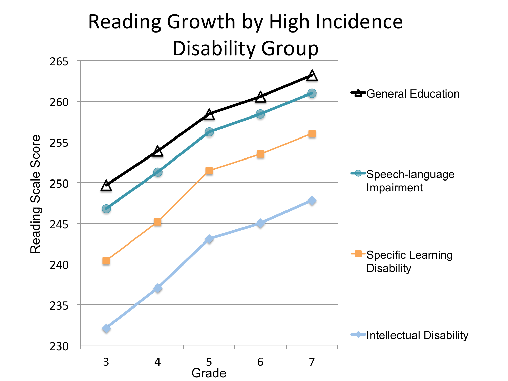#### Reading Growth by High Incidence Disability Group

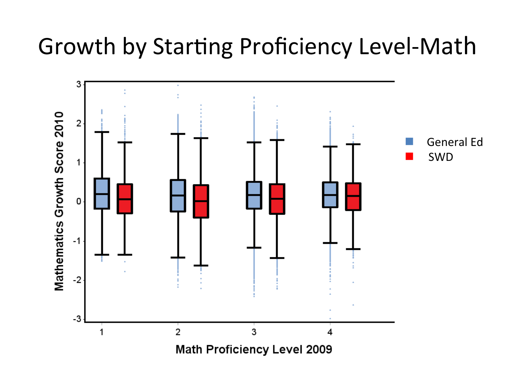### Growth by Starting Proficiency Level-Math

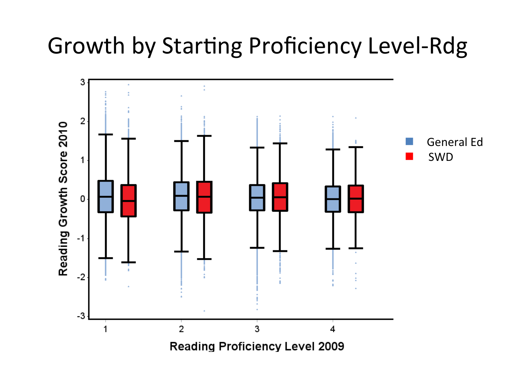### Growth by Starting Proficiency Level-Rdg

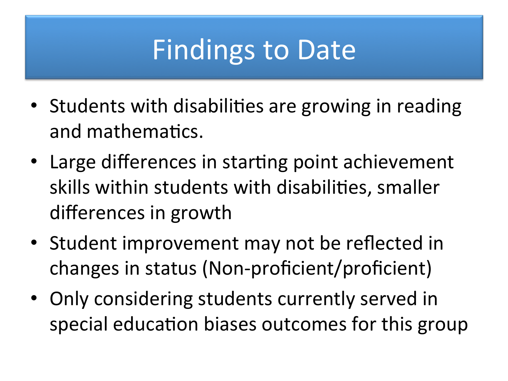## **Findings to Date**

- Students with disabilities are growing in reading and mathematics.
- Large differences in starting point achievement skills within students with disabilities, smaller differences in growth
- Student improvement may not be reflected in changes in status (Non-proficient/proficient)
- Only considering students currently served in special education biases outcomes for this group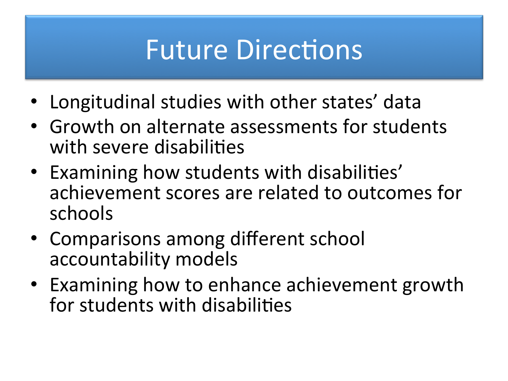## **Future Directions**

- Longitudinal studies with other states' data
- Growth on alternate assessments for students with severe disabilities
- Examining how students with disabilities' achievement scores are related to outcomes for schools
- Comparisons among different school accountability models
- Examining how to enhance achievement growth for students with disabilities